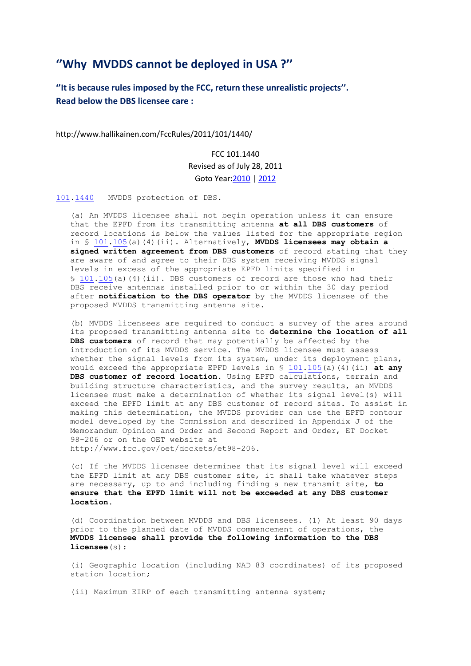## **''Why MVDDS cannot be deployed in USA ?''**

**''It is because rules imposed by the FCC, return these unrealistic projects''. Read below the DBS licensee care :**

http://www.hallikainen.com/FccRules/2011/101/1440/

FCC 101.1440 Revised as of July 28, 2011 Goto Year[:2010](http://www.hallikainen.org/FCC/FccRules/2010/101/1440) [| 2012](http://www.hallikainen.org/FCC/FccRules/2012/101/1440)

[101.](http://www.hallikainen.org/FCC/FccRules/2010/101/1440/section.pdf)[1440](http://www.hallikainen.com/FccRules/2011/101/1440) MVDDS protection of DBS.

 (a) An MVDDS licensee shall not begin operation unless it can ensure that the EPFD from its transmitting antenna **at all DBS customers** of record locations is below the values listed for the appropriate region in § [101.](http://www.hallikainen.org/FCC/FccRules/2010/101/105/section.pdf)[105\(](http://www.hallikainen.com/FccRules/2011/101/105)a)(4)(ii). Alternatively, **MVDDS licensees may obtain a signed written agreement from DBS customers** of record stating that they are aware of and agree to their DBS system receiving MVDDS signal levels in excess of the appropriate EPFD limits specified in § [101.](http://www.hallikainen.org/FCC/FccRules/2010/101/105/section.pdf)[105\(](http://www.hallikainen.com/FccRules/2011/101/105)a)(4)(ii). DBS customers of record are those who had their DBS receive antennas installed prior to or within the 30 day period after **notification to the DBS operator** by the MVDDS licensee of the proposed MVDDS transmitting antenna site.

 (b) MVDDS licensees are required to conduct a survey of the area around its proposed transmitting antenna site to **determine the location of all DBS customers** of record that may potentially be affected by the introduction of its MVDDS service. The MVDDS licensee must assess whether the signal levels from its system, under its deployment plans, would exceed the appropriate EPFD levels in § [101.](http://www.hallikainen.org/FCC/FccRules/2010/101/105/section.pdf)[105\(](http://www.hallikainen.com/FccRules/2011/101/105)a)(4)(ii) **at any DBS customer of record location**. Using EPFD calculations, terrain and building structure characteristics, and the survey results, an MVDDS licensee must make a determination of whether its signal level(s) will exceed the EPFD limit at any DBS customer of record sites. To assist in making this determination, the MVDDS provider can use the EPFD contour model developed by the Commission and described in Appendix J of the Memorandum Opinion and Order and Second Report and Order, ET Docket 98-206 or on the OET website at http://www.fcc.gov/oet/dockets/et98-206.

 (c) If the MVDDS licensee determines that its signal level will exceed the EPFD limit at any DBS customer site, it shall take whatever steps are necessary, up to and including finding a new transmit site, **to ensure that the EPFD limit will not be exceeded at any DBS customer location.**

 (d) Coordination between MVDDS and DBS licensees. (1) At least 90 days prior to the planned date of MVDDS commencement of operations, the  **MVDDS licensee shall provide the following information to the DBS licensee**(s):

 (i) Geographic location (including NAD 83 coordinates) of its proposed station location;

(ii) Maximum EIRP of each transmitting antenna system;